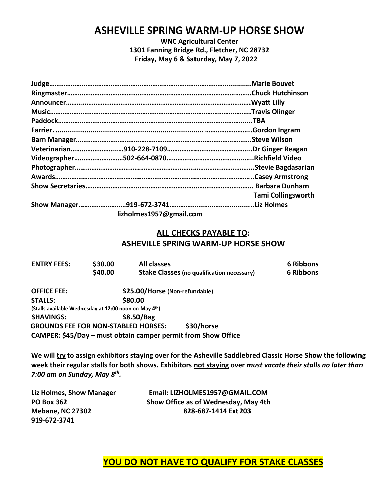# **ASHEVILLE SPRING WARM-UP HORSE SHOW**

**WNC Agricultural Center 1301 Fanning Bridge Rd., Fletcher, NC 28732 Friday, May 6 & Saturday, May 7, 2022**

|                         | Marie Bouvet              |
|-------------------------|---------------------------|
|                         | .Chuck Hutchinson         |
|                         |                           |
|                         | .Travis Olinger           |
|                         | TBA                       |
|                         | .Gordon Ingram            |
|                         | .Steve Wilson             |
|                         |                           |
|                         |                           |
|                         |                           |
|                         |                           |
|                         |                           |
|                         | <b>Tami Collingsworth</b> |
|                         |                           |
| lizholmes1957@gmail.com |                           |

#### **ALL CHECKS PAYABLE TO: ASHEVILLE SPRING WARM-UP HORSE SHOW**

| <b>ENTRY FEES:</b>                                    | \$30.00<br>\$40.00 | <b>All classes</b>             | <b>Stake Classes (no qualification necessary)</b>             | 6 Ribbons<br>6 Ribbons |
|-------------------------------------------------------|--------------------|--------------------------------|---------------------------------------------------------------|------------------------|
| <b>OFFICE FEE:</b>                                    |                    | \$25.00/Horse (Non-refundable) |                                                               |                        |
| <b>STALLS:</b>                                        |                    | \$80.00                        |                                                               |                        |
| (Stalls available Wednesday at 12:00 noon on May 4th) |                    |                                |                                                               |                        |
| <b>SHAVINGS:</b>                                      |                    | \$8.50/Bag                     |                                                               |                        |
| <b>GROUNDS FEE FOR NON-STABLED HORSES:</b>            |                    |                                | \$30/horse                                                    |                        |
|                                                       |                    |                                | CAMPER: \$45/Day – must obtain camper permit from Show Office |                        |

We will try to assign exhibitors staying over for the Asheville Saddlebred Classic Horse Show the following **week their regular stalls for both shows. Exhibitors not staying over** *must vacate their stalls no later than 7:00 am on Sunday, May 8 th .*

**919-672-3741**

**Liz Holmes, Show Manager Email: LIZHOLMES1957@GMAIL.COM PO Box 362 Show Office as of Wednesday, May 4th Mebane, NC 27302 828-687-1414 Ext 203**

**YOU DO NOT HAVE TO QUALIFY FOR STAKE CLASSES**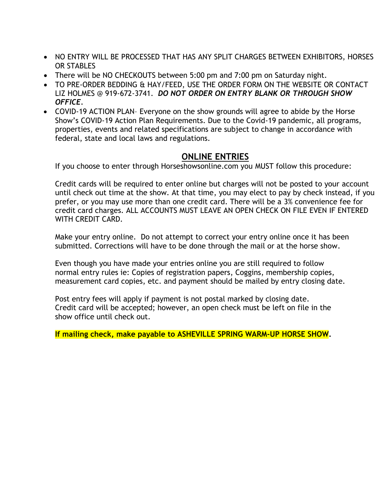- NO ENTRY WILL BE PROCESSED THAT HAS ANY SPLIT CHARGES BETWEEN EXHIBITORS, HORSES OR STABLES
- There will be NO CHECKOUTS between 5:00 pm and 7:00 pm on Saturday night.
- TO PRE-ORDER BEDDING & HAY/FEED, USE THE ORDER FORM ON THE WEBSITE OR CONTACT LIZ HOLMES @ 919-672-3741. *DO NOT ORDER ON ENTRY BLANK OR THROUGH SHOW OFFICE.*
- COVID-19 ACTION PLAN– Everyone on the show grounds will agree to abide by the Horse Show's COVID-19 Action Plan Requirements. Due to the Covid-19 pandemic, all programs, properties, events and related specifications are subject to change in accordance with federal, state and local laws and regulations.

## **ONLINE ENTRIES**

If you choose to enter through Horseshowsonline.com you MUST follow this procedure:

Credit cards will be required to enter online but charges will not be posted to your account until check out time at the show. At that time, you may elect to pay by check instead, if you prefer, or you may use more than one credit card. There will be a 3% convenience fee for credit card charges. ALL ACCOUNTS MUST LEAVE AN OPEN CHECK ON FILE EVEN IF ENTERED WITH CREDIT CARD.

Make your entry online. Do not attempt to correct your entry online once it has been submitted. Corrections will have to be done through the mail or at the horse show.

Even though you have made your entries online you are still required to follow normal entry rules ie: Copies of registration papers, Coggins, membership copies, measurement card copies, etc. and payment should be mailed by entry closing date.

Post entry fees will apply if payment is not postal marked by closing date. Credit card will be accepted; however, an open check must be left on file in the show office until check out.

**If mailing check, make payable to ASHEVILLE SPRING WARM-UP HORSE SHOW.**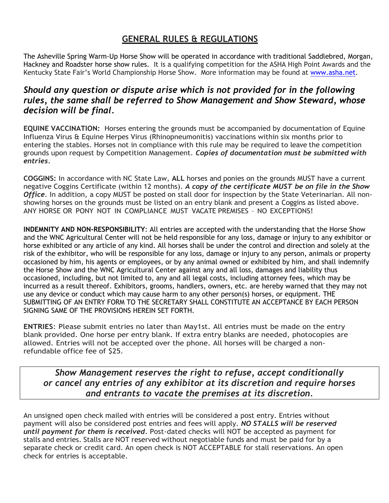# **GENERAL RULES & REGULATIONS**

The Asheville Spring Warm-Up Horse Show will be operated in accordance with traditional Saddlebred, Morgan, Hackney and Roadster horse show rules. It is a qualifying competition for the ASHA High Point Awards and the Kentucky State Fair's World Championship Horse Show. More information may be found at [www.asha.net.](http://www.asha.net/)

# *Should any question or dispute arise which is not provided for in the following rules, the same shall be referred to Show Management and Show Steward, whose decision will be final.*

**EQUINE VACCINATION:** Horses entering the grounds must be accompanied by documentation of Equine Influenza Virus & Equine Herpes Virus (Rhinopneumonitis) vaccinations within six months prior to entering the stables. Horses not in compliance with this rule may be required to leave the competition grounds upon request by Competition Management. *Copies of documentation must be submitted with entries.*

**COGGINS:** In accordance with NC State Law, **ALL** horses and ponies on the grounds MUST have a current negative Coggins Certificate (within 12 months). *A copy of the certificate MUST be on file in the Show Office*. In addition, a copy MUST be posted on stall door for inspection by the State Veterinarian. All nonshowing horses on the grounds must be listed on an entry blank and present a Coggins as listed above. ANY HORSE OR PONY NOT IN COMPLIANCE MUST VACATE PREMISES – NO EXCEPTIONS!

**INDEMNITY AND NON-RESPONSIBILITY**: All entries are accepted with the understanding that the Horse Show and the WNC Agricultural Center will not be held responsible for any loss, damage or injury to any exhibitor or horse exhibited or any article of any kind. All horses shall be under the control and direction and solely at the risk of the exhibitor, who will be responsible for any loss, damage or injury to any person, animals or property occasioned by him, his agents or employees, or by any animal owned or exhibited by him, and shall indemnify the Horse Show and the WNC Agricultural Center against any and all loss, damages and liability thus occasioned, including, but not limited to, any and all legal costs, including attorney fees, which may be incurred as a result thereof. Exhibitors, grooms, handlers, owners, etc. are hereby warned that they may not use any device or conduct which may cause harm to any other person(s) horses, or equipment. THE SUBMITTING OF AN ENTRY FORM TO THE SECRETARY SHALL CONSTITUTE AN ACCEPTANCE BY EACH PERSON SIGNING SAME OF THE PROVISIONS HEREIN SET FORTH.

**ENTRIES**: Please submit entries no later than May1st. All entries must be made on the entry blank provided. One horse per entry blank. If extra entry blanks are needed, photocopies are allowed. Entries will not be accepted over the phone. All horses will be charged a nonrefundable office fee of \$25.

*Show Management reserves the right to refuse, accept conditionally or cancel any entries of any exhibitor at its discretion and require horses and entrants to vacate the premises at its discretion.*

An unsigned open check mailed with entries will be considered a post entry. Entries without payment will also be considered post entries and fees will apply. *NO STALLS will be reserved until payment for them is received.* Post-dated checks will NOT be accepted as payment for stalls and entries. Stalls are NOT reserved without negotiable funds and must be paid for by a separate check or credit card. An open check is NOT ACCEPTABLE for stall reservations. An open check for entries is acceptable.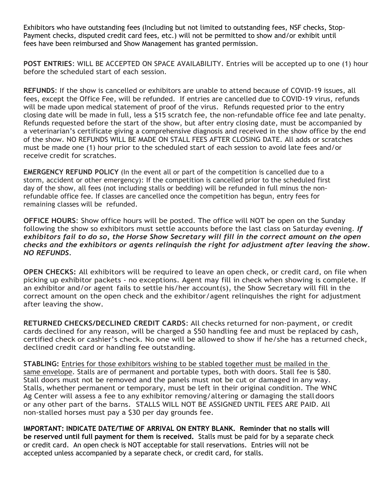Exhibitors who have outstanding fees (Including but not limited to outstanding fees, NSF checks, Stop-Payment checks, disputed credit card fees, etc.) will not be permitted to show and/or exhibit until fees have been reimbursed and Show Management has granted permission.

**POST ENTRIES**: WILL BE ACCEPTED ON SPACE AVAILABILITY. Entries will be accepted up to one (1) hour before the scheduled start of each session.

**REFUNDS**: If the show is cancelled or exhibitors are unable to attend because of COVID-19 issues, all fees, except the Office Fee, will be refunded. If entries are cancelled due to COVID-19 virus, refunds will be made upon medical statement of proof of the virus. Refunds requested prior to the entry closing date will be made in full, less a \$15 scratch fee, the non-refundable office fee and late penalty. Refunds requested before the start of the show, but after entry closing date, must be accompanied by a veterinarian's certificate giving a comprehensive diagnosis and received in the show office by the end of the show. NO REFUNDS WILL BE MADE ON STALL FEES AFTER CLOSING DATE. All adds or scratches must be made one (1) hour prior to the scheduled start of each session to avoid late fees and/or receive credit for scratches.

**EMERGENCY REFUND POLICY** (In the event all or part of the competition is cancelled due to a storm, accident or other emergency): If the competition is cancelled prior to the scheduled first day of the show, all fees (not including stalls or bedding) will be refunded in full minus the nonrefundable office fee. If classes are cancelled once the competition has begun, entry fees for remaining classes will be refunded.

**OFFICE HOURS**: Show office hours will be posted. The office will NOT be open on the Sunday following the show so exhibitors must settle accounts before the last class on Saturday evening. *If exhibitors fail to do so, the Horse Show Secretary will fill in the correct amount on the open checks and the exhibitors or agents relinquish the right for adjustment after leaving the show. NO REFUNDS.*

**OPEN CHECKS:** All exhibitors will be required to leave an open check, or credit card, on file when picking up exhibitor packets - no exceptions. Agent may fill in check when showing is complete. If an exhibitor and/or agent fails to settle his/her account(s), the Show Secretary will fill in the correct amount on the open check and the exhibitor/agent relinquishes the right for adjustment after leaving the show.

**RETURNED CHECKS/DECLINED CREDIT CARDS**: All checks returned for non-payment, or credit cards declined for any reason, will be charged a \$50 handling fee and must be replaced by cash, certified check or cashier's check. No one will be allowed to show if he/she has a returned check, declined credit card or handling fee outstanding.

**STABLING:** Entries for those exhibitors wishing to be stabled together must be mailed in the same envelope. Stalls are of permanent and portable types, both with doors. Stall fee is \$80. Stall doors must not be removed and the panels must not be cut or damaged in any way. Stalls, whether permanent or temporary, must be left in their original condition. The WNC Ag Center will assess a fee to any exhibitor removing/altering or damaging the stall doors or any other part of the barns. STALLS WILL NOT BE ASSIGNED UNTIL FEES ARE PAID. All non-stalled horses must pay a \$30 per day grounds fee.

**IMPORTANT: INDICATE DATE/TIME OF ARRIVAL ON ENTRY BLANK. Reminder that no stalls will be reserved until full payment for them is received.** Stalls must be paid for by a separate check or credit card. An open check is NOT acceptable for stall reservations. Entries will not be accepted unless accompanied by a separate check, or credit card, for stalls.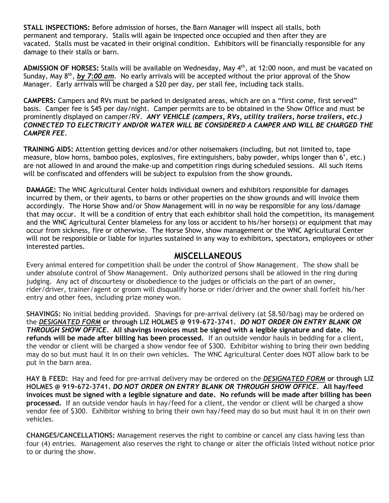**STALL INSPECTIONS:** Before admission of horses, the Barn Manager will inspect all stalls, both permanent and temporary. Stalls will again be inspected once occupied and then after they are vacated. Stalls must be vacated in their original condition. Exhibitors will be financially responsible for any damage to their stalls or barn.

ADMISSION OF HORSES: Stalls will be available on Wednesday, May 4<sup>th</sup>, at 12:00 noon, and must be vacated on Sunday, May 8<sup>th</sup>, by 7:00 am. No early arrivals will be accepted without the prior approval of the Show Manager. Early arrivals will be charged a \$20 per day, per stall fee, including tack stalls.

**CAMPERS:** Campers and RVs must be parked in designated areas, which are on a "first come, first served" basis. Camper fee is \$45 per day/night. Camper permits are to be obtained in the Show Office and must be prominently displayed on camper/RV. *ANY VEHICLE (campers, RVs, utility trailers, horse trailers, etc.) CONNECTED TO ELECTRICITY AND/OR WATER WILL BE CONSIDERED A CAMPER AND WILL BE CHARGED THE CAMPER FEE.*

**TRAINING AIDS:** Attention getting devices and/or other noisemakers (including, but not limited to, tape measure, blow horns, bamboo poles, explosives, fire extinguishers, baby powder, whips longer than 6', etc.) are not allowed in and around the make-up and competition rings during scheduled sessions. All such items will be confiscated and offenders will be subject to expulsion from the show grounds.

**DAMAGE:** The WNC Agricultural Center holds individual owners and exhibitors responsible for damages incurred by them, or their agents, to barns or other properties on the show grounds and will invoice them accordingly. The Horse Show and/or Show Management will in no way be responsible for any loss/damage that may occur. It will be a condition of entry that each exhibitor shall hold the competition, its management and the WNC Agricultural Center blameless for any loss or accident to his/her horse(s) or equipment that may occur from sickness, fire or otherwise. The Horse Show, show management or the WNC Agricultural Center will not be responsible or liable for injuries sustained in any way to exhibitors, spectators, employees or other interested parties.

### **MISCELLANEOUS**

Every animal entered for competition shall be under the control of Show Management. The show shall be under absolute control of Show Management. Only authorized persons shall be allowed in the ring during judging. Any act of discourtesy or disobedience to the judges or officials on the part of an owner, rider/driver, trainer/agent or groom will disqualify horse or rider/driver and the owner shall forfeit his/her entry and other fees, including prize money won.

**SHAVINGS:** No initial bedding provided. Shavings for pre-arrival delivery (at \$8.50/bag) may be ordered on the *DESIGNATED FORM* **or through LIZ HOLMES @ 919-672-3741.** *DO NOT ORDER ON ENTRY BLANK OR THROUGH SHOW OFFICE.* **All shavings invoices must be signed with a legible signature and date. No refunds will be made after billing has been processed.** If an outside vendor hauls in bedding for a client, the vendor or client will be charged a show vendor fee of \$300. Exhibitor wishing to bring their own bedding may do so but must haul it in on their own vehicles. The WNC Agricultural Center does NOT allow bark to be put in the barn area.

**HAY & FEED:** Hay and feed for pre-arrival delivery may be ordered on the *DESIGNATED FORM* **or through LIZ HOLMES @ 919-672-3741.** *DO NOT ORDER ON ENTRY BLANK OR THROUGH SHOW OFFICE.* **All hay/feed invoices must be signed with a legible signature and date. No refunds will be made after billing has been processed.** If an outside vendor hauls in hay/feed for a client, the vendor or client will be charged a show vendor fee of \$300. Exhibitor wishing to bring their own hay/feed may do so but must haul it in on their own vehicles.

**CHANGES/CANCELLATIONS:** Management reserves the right to combine or cancel any class having less than four (4) entries. Management also reserves the right to change or alter the officials listed without notice prior to or during the show.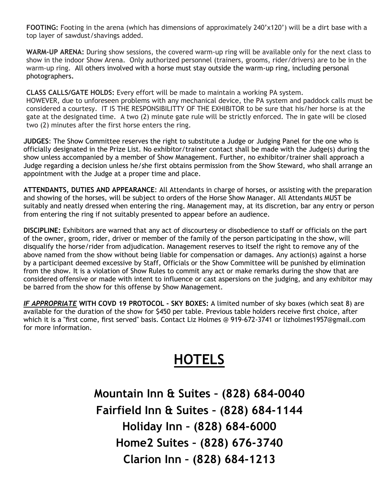**FOOTING:** Footing in the arena (which has dimensions of approximately 240'x120') will be a dirt base with a top layer of sawdust/shavings added.

**WARM-UP ARENA:** During show sessions, the covered warm-up ring will be available only for the next class to show in the indoor Show Arena. Only authorized personnel (trainers, grooms, rider/drivers) are to be in the warm-up ring. All others involved with a horse must stay outside the warm-up ring, including personal photographers**.**

**CLASS CALLS/GATE HOLDS:** Every effort will be made to maintain a working PA system. HOWEVER, due to unforeseen problems with any mechanical device, the PA system and paddock calls must be considered a courtesy. IT IS THE RESPONSIBILITTY OF THE EXHIBITOR to be sure that his/her horse is at the gate at the designated time. A two (2) minute gate rule will be strictly enforced. The in gate will be closed two (2) minutes after the first horse enters the ring.

**JUDGES**: The Show Committee reserves the right to substitute a Judge or Judging Panel for the one who is officially designated in the Prize List. No exhibitor/trainer contact shall be made with the Judge(s) during the show unless accompanied by a member of Show Management. Further, no exhibitor/trainer shall approach a Judge regarding a decision unless he/she first obtains permission from the Show Steward, who shall arrange an appointment with the Judge at a proper time and place.

**ATTENDANTS, DUTIES AND APPEARANCE**: All Attendants in charge of horses, or assisting with the preparation and showing of the horses, will be subject to orders of the Horse Show Manager. All Attendants MUST be suitably and neatly dressed when entering the ring. Management may, at its discretion, bar any entry or person from entering the ring if not suitably presented to appear before an audience.

**DISCIPLINE:** Exhibitors are warned that any act of discourtesy or disobedience to staff or officials on the part of the owner, groom, rider, driver or member of the family of the person participating in the show, will disqualify the horse/rider from adjudication. Management reserves to itself the right to remove any of the above named from the show without being liable for compensation or damages. Any action(s) against a horse by a participant deemed excessive by Staff, Officials or the Show Committee will be punished by elimination from the show. It is a violation of Show Rules to commit any act or make remarks during the show that are considered offensive or made with intent to influence or cast aspersions on the judging, and any exhibitor may be barred from the show for this offense by Show Management.

*IF APPROPRIATE* **WITH COVD 19 PROTOCOL - SKY BOXES:** A limited number of sky boxes (which seat 8) are available for the duration of the show for \$450 per table. Previous table holders receive first choice, after which it is a "first come, first served" basis. Contact Liz Holmes @ 919‐672‐3741 or [lizholmes1957@gmail.com](mailto:lizholmes1957@gmail.com)  for more information.

# **HOTELS**

**Mountain Inn & Suites – (828) 684-0040 Fairfield Inn & Suites – (828) 684-1144 Holiday Inn – (828) 684-6000 Home2 Suites – (828) 676-3740 Clarion Inn – (828) 684-1213**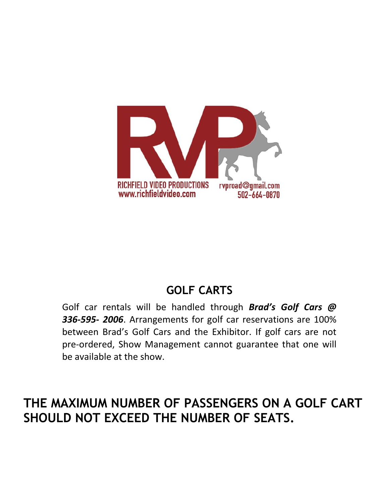

# **GOLF CARTS**

Golf car rentals will be handled through *Brad's Golf Cars @ 336‐595‐ 2006*. Arrangements for golf car reservations are 100% between Brad's Golf Cars and the Exhibitor. If golf cars are not pre‐ordered, Show Management cannot guarantee that one will be available at the show.

# **THE MAXIMUM NUMBER OF PASSENGERS ON A GOLF CART SHOULD NOT EXCEED THE NUMBER OF SEATS.**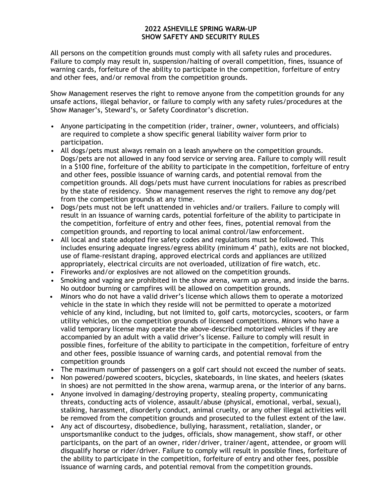#### **2022 ASHEVILLE SPRING WARM-UP SHOW SAFETY AND SECURITY RULES**

All persons on the competition grounds must comply with all safety rules and procedures. Failure to comply may result in, suspension/halting of overall competition, fines, issuance of warning cards, forfeiture of the ability to participate in the competition, forfeiture of entry and other fees, and/or removal from the competition grounds.

Show Management reserves the right to remove anyone from the competition grounds for any unsafe actions, illegal behavior, or failure to comply with any safety rules/procedures at the Show Manager's, Steward's, or Safety Coordinator's discretion.

- Anyone participating in the competition (rider, trainer, owner, volunteers, and officials) are required to complete a show specific general liability waiver form prior to participation.
- All dogs/pets must always remain on a leash anywhere on the competition grounds. Dogs/pets are not allowed in any food service or serving area. Failure to comply will result in a \$100 fine, forfeiture of the ability to participate in the competition, forfeiture of entry and other fees, possible issuance of warning cards, and potential removal from the competition grounds. All dogs/pets must have current inoculations for rabies as prescribed by the state of residency. Show management reserves the right to remove any dog/pet from the competition grounds at any time.
- Dogs/pets must not be left unattended in vehicles and/or trailers. Failure to comply will result in an issuance of warning cards, potential forfeiture of the ability to participate in the competition, forfeiture of entry and other fees, fines, potential removal from the competition grounds, and reporting to local animal control/law enforcement.
- All local and state adopted fire safety codes and regulations must be followed. This includes ensuring adequate ingress/egress ability (minimum 4' path), exits are not blocked, use of flame-resistant draping, approved electrical cords and appliances are utilized appropriately, electrical circuits are not overloaded, utilization of fire watch, etc.
- Fireworks and/or explosives are not allowed on the competition grounds.
- Smoking and vaping are prohibited in the show arena, warm up arena, and inside the barns. No outdoor burning or campfires will be allowed on competition grounds.
- Minors who do not have a valid driver's license which allows them to operate a motorized vehicle in the state in which they reside will not be permitted to operate a motorized vehicle of any kind, including, but not limited to, golf carts, motorcycles, scooters, or farm utility vehicles, on the competition grounds of licensed competitions. Minors who have a valid temporary license may operate the above-described motorized vehicles if they are accompanied by an adult with a valid driver's license. Failure to comply will result in possible fines, forfeiture of the ability to participate in the competition, forfeiture of entry and other fees, possible issuance of warning cards, and potential removal from the competition grounds
- The maximum number of passengers on a golf cart should not exceed the number of seats.
- Non powered/powered scooters, bicycles, skateboards, in line skates, and heelers (skates in shoes) are not permitted in the show arena, warmup arena, or the interior of any barns.
- Anyone involved in damaging/destroying property, stealing property, communicating threats, conducting acts of violence, assault/abuse (physical, emotional, verbal, sexual), stalking, harassment, disorderly conduct, animal cruelty, or any other illegal activities will be removed from the competition grounds and prosecuted to the fullest extent of the law.
- Any act of discourtesy, disobedience, bullying, harassment, retaliation, slander, or unsportsmanlike conduct to the judges, officials, show management, show staff, or other participants, on the part of an owner, rider/driver, trainer/agent, attendee, or groom will disqualify horse or rider/driver. Failure to comply will result in possible fines, forfeiture of the ability to participate in the competition, forfeiture of entry and other fees, possible issuance of warning cards, and potential removal from the competition grounds.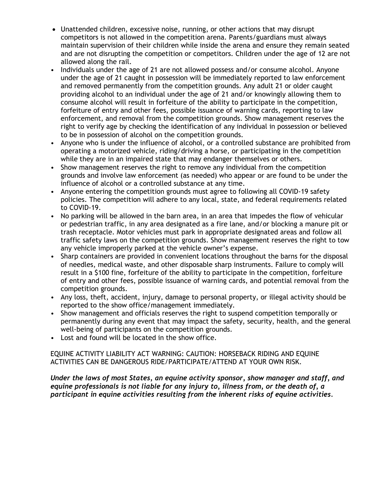- Unattended children, excessive noise, running, or other actions that may disrupt competitors is not allowed in the competition arena. Parents/guardians must always maintain supervision of their children while inside the arena and ensure they remain seated and are not disrupting the competition or competitors. Children under the age of 12 are not allowed along the rail.
- Individuals under the age of 21 are not allowed possess and/or consume alcohol. Anyone under the age of 21 caught in possession will be immediately reported to law enforcement and removed permanently from the competition grounds. Any adult 21 or older caught providing alcohol to an individual under the age of 21 and/or knowingly allowing them to consume alcohol will result in forfeiture of the ability to participate in the competition, forfeiture of entry and other fees, possible issuance of warning cards, reporting to law enforcement, and removal from the competition grounds. Show management reserves the right to verify age by checking the identification of any individual in possession or believed to be in possession of alcohol on the competition grounds.
- Anyone who is under the influence of alcohol, or a controlled substance are prohibited from operating a motorized vehicle, riding/driving a horse, or participating in the competition while they are in an impaired state that may endanger themselves or others.
- Show management reserves the right to remove any individual from the competition grounds and involve law enforcement (as needed) who appear or are found to be under the influence of alcohol or a controlled substance at any time.
- Anyone entering the competition grounds must agree to following all COVID-19 safety policies. The competition will adhere to any local, state, and federal requirements related to COVID-19.
- No parking will be allowed in the barn area, in an area that impedes the flow of vehicular or pedestrian traffic, in any area designated as a fire lane, and/or blocking a manure pit or trash receptacle. Motor vehicles must park in appropriate designated areas and follow all traffic safety laws on the competition grounds. Show management reserves the right to tow any vehicle improperly parked at the vehicle owner's expense.
- Sharp containers are provided in convenient locations throughout the barns for the disposal of needles, medical waste, and other disposable sharp instruments. Failure to comply will result in a \$100 fine, forfeiture of the ability to participate in the competition, forfeiture of entry and other fees, possible issuance of warning cards, and potential removal from the competition grounds.
- Any loss, theft, accident, injury, damage to personal property, or illegal activity should be reported to the show office/management immediately.
- Show management and officials reserves the right to suspend competition temporally or permanently during any event that may impact the safety, security, health, and the general well-being of participants on the competition grounds.
- Lost and found will be located in the show office.

EQUINE ACTIVITY LIABILITY ACT WARNING: CAUTION: HORSEBACK RIDING AND EQUINE ACTIVITIES CAN BE DANGEROUS RIDE/PARTICIPATE/ATTEND AT YOUR OWN RISK.

*Under the laws of most States, an equine activity sponsor, show manager and staff, and equine professionals is not liable for any injury to, illness from, or the death of, a participant in equine activities resulting from the inherent risks of equine activities.*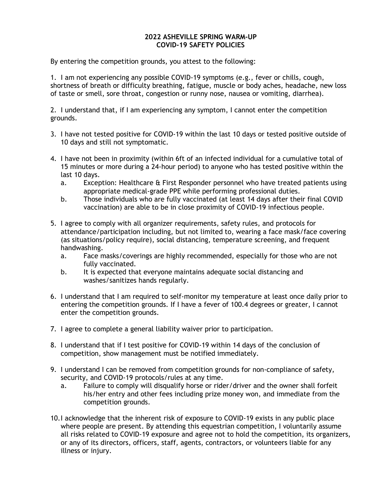#### **2022 ASHEVILLE SPRING WARM-UP COVID-19 SAFETY POLICIES**

By entering the competition grounds, you attest to the following:

1. I am not experiencing any possible COVID-19 symptoms (e.g., fever or chills, cough, shortness of breath or difficulty breathing, fatigue, muscle or body aches, headache, new loss of taste or smell, sore throat, congestion or runny nose, nausea or vomiting, diarrhea).

2. I understand that, if I am experiencing any symptom, I cannot enter the competition grounds.

- 3. I have not tested positive for COVID-19 within the last 10 days or tested positive outside of 10 days and still not symptomatic.
- 4. I have not been in proximity (within 6ft of an infected individual for a cumulative total of 15 minutes or more during a 24-hour period) to anyone who has tested positive within the last 10 days.
	- a. Exception: Healthcare & First Responder personnel who have treated patients using appropriate medical-grade PPE while performing professional duties.
	- b. Those individuals who are fully vaccinated (at least 14 days after their final COVID vaccination) are able to be in close proximity of COVID-19 infectious people.
- 5. I agree to comply with all organizer requirements, safety rules, and protocols for attendance/participation including, but not limited to, wearing a face mask/face covering (as situations/policy require), social distancing, temperature screening, and frequent handwashing.
	- a. Face masks/coverings are highly recommended, especially for those who are not fully vaccinated.
	- b. It is expected that everyone maintains adequate social distancing and washes/sanitizes hands regularly.
- 6. I understand that I am required to self-monitor my temperature at least once daily prior to entering the competition grounds. If I have a fever of 100.4 degrees or greater, I cannot enter the competition grounds.
- 7. I agree to complete a general liability waiver prior to participation.
- 8. I understand that if I test positive for COVID-19 within 14 days of the conclusion of competition, show management must be notified immediately.
- 9. I understand I can be removed from competition grounds for non-compliance of safety, security, and COVID-19 protocols/rules at any time.
	- a. Failure to comply will disqualify horse or rider/driver and the owner shall forfeit his/her entry and other fees including prize money won, and immediate from the competition grounds.
- 10.I acknowledge that the inherent risk of exposure to COVID-19 exists in any public place where people are present. By attending this equestrian competition, I voluntarily assume all risks related to COVID-19 exposure and agree not to hold the competition, its organizers, or any of its directors, officers, staff, agents, contractors, or volunteers liable for any illness or injury.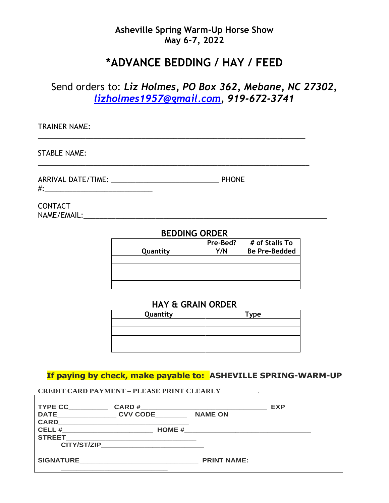# **Asheville Spring Warm-Up Horse Show May 6-7, 2022**

# **\*ADVANCE BEDDING / HAY / FEED**

# Send orders to: *Liz Holmes, PO Box 362, Mebane, NC 27302, [lizholmes1957@gmail.com,](mailto:lizholmes1957@gmail.com) 919-672-3741*

\_\_\_\_\_\_\_\_\_\_\_\_\_\_\_\_\_\_\_\_\_\_\_\_\_\_\_\_\_\_\_\_\_\_\_\_\_\_\_\_\_\_\_\_\_\_\_\_\_\_\_\_\_\_\_\_\_\_\_\_\_\_\_\_\_\_\_

TRAINER NAME:

STABLE NAME:

ARRIVAL DATE/TIME: \_\_\_\_\_\_\_\_\_\_\_\_\_\_\_\_\_\_\_\_\_\_\_\_\_\_\_ PHONE #:\_\_\_\_\_\_\_\_\_\_\_\_\_\_\_\_\_\_\_\_\_\_\_\_\_\_\_

**CONTACT** NAME/EMAIL:\_\_\_\_\_\_\_\_\_\_\_\_\_\_\_\_\_\_\_\_\_\_\_\_\_\_\_\_\_\_\_\_\_\_\_\_\_\_\_\_\_\_\_\_\_\_\_\_\_\_\_\_\_\_\_\_\_\_\_\_\_

### **BEDDING ORDER**

\_\_\_\_\_\_\_\_\_\_\_\_\_\_\_\_\_\_\_\_\_\_\_\_\_\_\_\_\_\_\_\_\_\_\_\_\_\_\_\_\_\_\_\_\_\_\_\_\_\_\_\_\_\_\_\_\_\_\_\_\_\_\_\_\_\_\_\_

| Quantity | Pre-Bed?<br>Y/N | # of Stalls To<br><b>Be Pre-Bedded</b> |
|----------|-----------------|----------------------------------------|
|          |                 |                                        |
|          |                 |                                        |
|          |                 |                                        |
|          |                 |                                        |

### **HAY & GRAIN ORDER**

| Quantity | <b>Type</b> |
|----------|-------------|
|          |             |
|          |             |
|          |             |
|          |             |

**If paying by check, make payable to: ASHEVILLE SPRING-WARM-UP**

#### **CREDIT CARD PAYMENT – PLEASE PRINT CLEARLY** .

| <b>TYPE CC</b>     | <b>CARD#</b>    |                    | <b>EXP</b> |
|--------------------|-----------------|--------------------|------------|
| <b>DATE</b>        | <b>CVV CODE</b> | <b>NAME ON</b>     |            |
| <b>CARD</b>        |                 |                    |            |
| <b>CELL#</b>       | <b>HOME #</b>   |                    |            |
| <b>STREET</b>      |                 |                    |            |
| <b>CITY/ST/ZIP</b> |                 |                    |            |
|                    |                 |                    |            |
| <b>SIGNATURE</b>   |                 | <b>PRINT NAME:</b> |            |
|                    |                 |                    |            |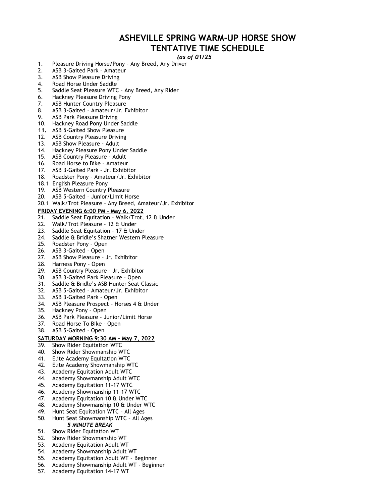## **ASHEVILLE SPRING WARM-UP HORSE SHOW TENTATIVE TIME SCHEDULE**

#### *(as of 01/25*

- 1. Pleasure Driving Horse/Pony Any Breed, Any Driver
- 2. ASB 3-Gaited Park Amateur
- 3. ASB Show Pleasure Driving
- 4. Road Horse Under Saddle
- 5. Saddle Seat Pleasure WTC Any Breed, Any Rider
- 6. Hackney Pleasure Driving Pony
- 7. ASB Hunter Country Pleasure
- 8. ASB 3-Gaited Amateur/Jr. Exhibitor
- 9. ASB Park Pleasure Driving
- 10. Hackney Road Pony Under Saddle
- **11.** ASB 5-Gaited Show Pleasure
- 12. ASB Country Pleasure Driving
- 13. ASB Show Pleasure Adult
- 14. Hackney Pleasure Pony Under Saddle
- 15. ASB Country Pleasure Adult
- 16. Road Horse to Bike Amateur
- 17. ASB 3-Gaited Park Jr. Exhibitor
- 18. Roadster Pony Amateur/Jr. Exhibitor
- 18.1 English Pleasure Pony
- 19. ASB Western Country Pleasure
- 20. ASB 5-Gaited Junior/Limit Horse
- 20.1 Walk/Trot Pleasure Any Breed, Amateur/Jr. Exhibitor

#### **FRIDAY EVENING 6:00 PM – May 6, 2022**

- 21. Saddle Seat Equitation Walk/Trot, 12 & Under
- 22. Walk/Trot Pleasure 12 & Under
- 23. Saddle Seat Equitation 17 & Under
- 24. Saddle & Bridle's Shatner Western Pleasure
- 25. Roadster Pony Open
- 26. ASB 3-Gaited Open
- 27. ASB Show Pleasure Jr. Exhibitor
- 28. Harness Pony Open
- 29. ASB Country Pleasure Jr. Exhibitor
- 30. ASB 3-Gaited Park Pleasure Open
- 31. Saddle & Bridle's ASB Hunter Seat Classic
- 32. ASB 5-Gaited Amateur/Jr. Exhibitor
- 33. ASB 3-Gaited Park Open
- 34. ASB Pleasure Prospect Horses 4 & Under
- 35. Hackney Pony Open
- 36. ASB Park Pleasure Junior/Limit Horse
- 37. Road Horse To Bike Open
- 38. ASB 5-Gaited Open

#### **SATURDAY MORNING 9:30 AM – May 7, 2022**

- 39. Show Rider Equitation WTC
- 40. Show Rider Showmanship WTC
- 41. Elite Academy Equitation WTC
- 42. Elite Academy Showmanship WTC
- 43. Academy Equitation Adult WTC
- 44. Academy Showmanship Adult WTC
- 45. Academy Equitation 11-17 WTC
- 46. Academy Showmanship 11-17 WTC
- 47. Academy Equitation 10 & Under WTC
- 48. Academy Showmanship 10 & Under WTC
- 49. Hunt Seat Equitation WTC All Ages
- 50. Hunt Seat Showmanship WTC All Ages *5 MINUTE BREAK*
- 51. Show Rider Equitation WT
- 52. Show Rider Showmanship WT
- 53. Academy Equitation Adult WT
- 54. Academy Showmanship Adult WT
- 55. Academy Equitation Adult WT Beginner
- 56. Academy Showmanship Adult WT Beginner
- 57. Academy Equitation 14-17 WT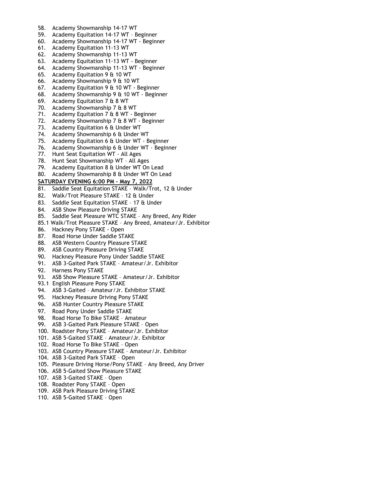- 58. Academy Showmanship 14-17 WT
- 59. Academy Equitation 14-17 WT Beginner
- 60. Academy Showmanship 14-17 WT Beginner
- 61. Academy Equitation 11-13 WT
- 62. Academy Showmanship 11-13 WT
- 63. Academy Equitation 11-13 WT Beginner
- 64. Academy Showmanship 11-13 WT Beginner
- 65. Academy Equitation 9 & 10 WT
- 66. Academy Showmanship 9 & 10 WT
- 67. Academy Equitation 9 & 10 WT Beginner
- 68. Academy Showmanship 9 & 10 WT Beginner
- 69. Academy Equitation 7 & 8 WT
- 70. Academy Showmanship 7 & 8 WT
- 71. Academy Equitation 7 & 8 WT Beginner
- 72. Academy Showmanship 7 & 8 WT Beginner
- 73. Academy Equitation 6 & Under WT
- 74. Academy Showmanship 6 & Under WT
- 75. Academy Equitation 6 & Under WT Beginner
- 76. Academy Showmanship 6 & Under WT Beginner
- 77. Hunt Seat Equitation WT All Ages
- 78. Hunt Seat Showmanship WT All Ages
- 79. Academy Equitation 8  $\dot{a}$  Under WT On Lead
- 80. Academy Showmanship 8 & Under WT On Lead

#### **SATURDAY EVENING 6:00 PM – May 7, 2022**

- 81. Saddle Seat Equitation STAKE Walk/Trot, 12 & Under
- 82. Walk/Trot Pleasure STAKE 12 & Under
- 83. Saddle Seat Equitation STAKE 17 & Under
- 84. ASB Show Pleasure Driving STAKE
- 85. Saddle Seat Pleasure WTC STAKE Any Breed, Any Rider
- 85.1 Walk/Trot Pleasure STAKE Any Breed, Amateur/Jr. Exhibitor
- 86. Hackney Pony STAKE Open
- 87. Road Horse Under Saddle STAKE
- 88. ASB Western Country Pleasure STAKE
- 89. ASB Country Pleasure Driving STAKE
- 90. Hackney Pleasure Pony Under Saddle STAKE
- 91. ASB 3-Gaited Park STAKE Amateur/Jr. Exhibitor
- 92. Harness Pony STAKE
- 93. ASB Show Pleasure STAKE Amateur/Jr. Exhibitor
- 93.1 English Pleasure Pony STAKE
- 94. ASB 3-Gaited Amateur/Jr. Exhibitor STAKE
- 95. Hackney Pleasure Driving Pony STAKE
- 96. ASB Hunter Country Pleasure STAKE
- 97. Road Pony Under Saddle STAKE
- 98. Road Horse To Bike STAKE Amateur
- 99. ASB 3-Gaited Park Pleasure STAKE Open
- 100. Roadster Pony STAKE Amateur/Jr. Exhibitor
- 101. ASB 5-Gaited STAKE Amateur/Jr. Exhibitor
- 102. Road Horse To Bike STAKE Open
- 103. ASB Country Pleasure STAKE Amateur/Jr. Exhibitor
- 104. ASB 3-Gaited Park STAKE Open
- 105. Pleasure Driving Horse/Pony STAKE Any Breed, Any Driver
- 106. ASB 5-Gaited Show Pleasure STAKE
- 107. ASB 3-Gaited STAKE Open
- 108. Roadster Pony STAKE Open
- 109. ASB Park Pleasure Driving STAKE
- 110. ASB 5-Gaited STAKE Open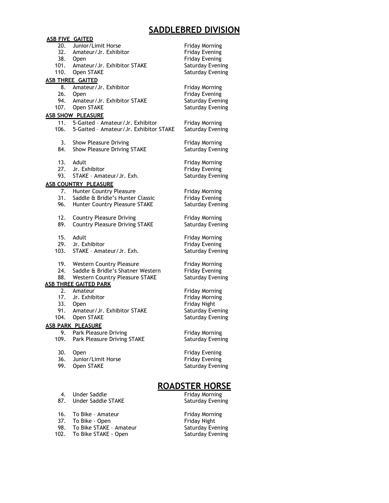## **SADDLEBRED DIVISION**

|      | <b>ASB FIVE GAITED</b>                                     |                                           |
|------|------------------------------------------------------------|-------------------------------------------|
| 20.  | Junior/Limit Horse                                         | <b>Friday Morning</b>                     |
|      | 32. Amateur/Jr. Exhibitor                                  | Friday Evening                            |
|      | 38. Open                                                   | <b>Friday Evening</b>                     |
|      | 101. Amateur/Jr. Exhibitor STAKE                           | Saturday Evening                          |
|      | 110. Open STAKE                                            | Saturday Evening                          |
|      | <b>ASB THREE GAITED</b>                                    |                                           |
|      | 8. Amateur/Jr. Exhibitor                                   | <b>Friday Morning</b>                     |
| 26.  | Open                                                       | <b>Friday Evening</b>                     |
| 94.  | Amateur/Jr. Exhibitor STAKE                                | <b>Saturday Evening</b>                   |
| 107. | Open STAKE                                                 | Saturday Evening                          |
|      | <b>ASB SHOW PLEASURE</b>                                   |                                           |
| 11.  | 5-Gaited - Amateur/Jr. Exhibitor                           | <b>Friday Morning</b>                     |
| 106. | 5-Gaited - Amateur/Jr. Exhibitor STAKE                     | <b>Saturday Evening</b>                   |
|      |                                                            |                                           |
| 3.   | Show Pleasure Driving                                      | <b>Friday Morning</b>                     |
| 84.  | Show Pleasure Driving STAKE                                | Saturday Evening                          |
|      |                                                            |                                           |
| 13.  | Adult                                                      | <b>Friday Morning</b>                     |
| 27.  | Jr. Exhibitor                                              | Friday Evening                            |
| 93.  | STAKE - Amateur/Jr. Exh.                                   | Saturday Evening                          |
|      | <b>ASB COUNTRY PLEASURE</b>                                |                                           |
|      | 7. Hunter Country Pleasure<br>31. Saddle & Bridle's Hunter | <b>Friday Morning</b>                     |
|      | Saddle & Bridle's Hunter Classic                           | <b>Friday Evening</b>                     |
| 96.  | Hunter Country Pleasure STAKE                              | Saturday Evening                          |
|      |                                                            |                                           |
| 12.  | <b>Country Pleasure Driving</b>                            | <b>Friday Morning</b>                     |
| 89.  | <b>Country Pleasure Driving STAKE</b>                      | <b>Saturday Evening</b>                   |
|      |                                                            |                                           |
| 15.  | Adult                                                      | <b>Friday Morning</b>                     |
| 29.  | Jr. Exhibitor                                              | <b>Friday Evening</b>                     |
| 103. | STAKE - Amateur/Jr. Exh.                                   | Saturday Evening                          |
| 19.  | <b>Western Country Pleasure</b>                            | <b>Friday Morning</b>                     |
| 24.  | Saddle & Bridle's Shatner Western                          | <b>Friday Evening</b>                     |
| 88.  | <b>Western Country Pleasure STAKE</b>                      | Saturday Evening                          |
|      | <b>ASB THREE GAITED PARK</b>                               |                                           |
| 2.   | Amateur                                                    | <b>Friday Morning</b>                     |
| 17.  | Jr. Exhibitor                                              | <b>Friday Morning</b>                     |
| 33.  | <b>Open</b>                                                | Friday Night                              |
| 91.  | Amateur/Jr. Exhibitor STAKE                                | <b>Saturday Evening</b>                   |
| 104. | Open STAKE                                                 | Saturday Evening                          |
|      |                                                            |                                           |
| 9.   | <u>ASB PARK PLEASURE</u><br>Park Pleasure Driving          |                                           |
| 109. | Park Pleasure Driving STAKE                                | <b>Friday Morning</b><br>Saturday Evening |
|      |                                                            |                                           |
| 30.  | Open                                                       | <b>Friday Evening</b>                     |
| 36.  | Junior/Limit Horse                                         | <b>Friday Evening</b>                     |
| 99.  | Open STAKE                                                 | Saturday Evening                          |
|      |                                                            |                                           |
|      |                                                            |                                           |
|      |                                                            | <u>ROADSTER HORSE</u>                     |
| 4.   | <b>Under Saddle</b>                                        | <b>Friday Morning</b>                     |
| 87.  | <b>Under Saddle STAKE</b>                                  | Saturday Evening                          |
|      |                                                            |                                           |
| 16.  | To Bike - Amateur                                          | <b>Friday Morning</b>                     |
| 37.  | To Bike - Open                                             | Friday Night                              |

- 37. To Bike Open
- 98. To Bike STAKE Amateur Saturday Evening
- 102. To Bike STAKE Open Saturday Evening

# **ORSE**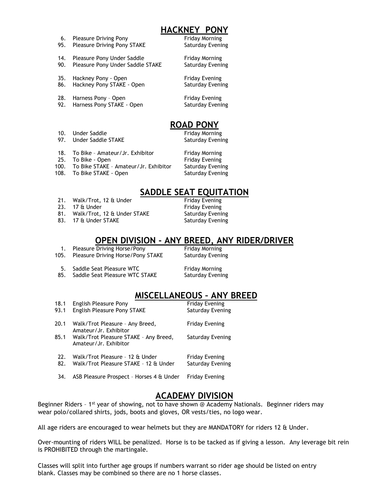## **HACKNEY PONY**

- 6. Pleasure Driving Pony **Filter Contact Primes** Friday Morning
- 95. Pleasure Driving Pony STAKE Saturday Evening
- 14. Pleasure Pony Under Saddle Friday Morning 90. Pleasure Pony Under Saddle STAKE Saturday Evening
- 35. Hackney Pony Open Friday Evening
- 
- 28. Harness Pony Open Friday Evening 92. Harness Pony STAKE - Open Saturday Evening
- 

86. Hackney Pony STAKE - Open Saturday Evening

# **ROAD PONY**

10. Under Saddle Friday Morning 97. Under Saddle STAKE Saturday Evening

- 18. To Bike Amateur/Jr. Exhibitor Friday Morning
- 25. To Bike Open **Filter Contact Contact Contact Contact Contact Contact Contact Contact Contact Contact Conta**
- 100. To Bike STAKE Amateur/Jr. Exhibitor Saturday Evening
- 108. To Bike STAKE Open Saturday Evening

# **SADDLE SEAT EQUITATION**

- 21. Walk/Trot, 12 & Under
- 23. 17 & Under Friday Evening
- 81. Walk/Trot, 12 & Under STAKE Saturday Evening
- 83. 17 & Under STAKE Saturday Evening

## **OPEN DIVISION - ANY BREED, ANY RIDER/DRIVER**

|      | Pleasure Driving Horse/Pony       | Friday Morning   |
|------|-----------------------------------|------------------|
| 105. | Pleasure Driving Horse/Pony STAKE | Saturday Evening |
|      | Saddle Seat Pleasure WTC          | Friday Morning   |

85. Saddle Seat Pleasure WTC STAKE Saturday Evening

# **MISCELLANEOUS – ANY BREED**

| 18.1<br>93.1 | English Pleasure Pony<br>English Pleasure Pony STAKE                     | <b>Friday Evening</b><br>Saturday Evening |
|--------------|--------------------------------------------------------------------------|-------------------------------------------|
| 20.1         | Walk/Trot Pleasure - Any Breed,<br>Amateur/Jr. Exhibitor                 | Friday Evening                            |
| 85.1         | Walk/Trot Pleasure STAKE - Any Breed,<br>Amateur/Jr. Exhibitor           | Saturday Evening                          |
| 22.<br>82.   | Walk/Trot Pleasure - 12 & Under<br>Walk/Trot Pleasure STAKE - 12 & Under | <b>Friday Evening</b><br>Saturday Evening |
|              |                                                                          |                                           |

34. ASB Pleasure Prospect – Horses 4 & Under Friday Evening

# **ACADEMY DIVISION**

Beginner Riders - 1<sup>st</sup> year of showing, not to have shown @ Academy Nationals. Beginner riders may wear polo/collared shirts, jods, boots and gloves, OR vests/ties, no logo wear.

All age riders are encouraged to wear helmets but they are MANDATORY for riders 12 & Under.

Over-mounting of riders WILL be penalized. Horse is to be tacked as if giving a lesson. Any leverage bit rein is PROHIBITED through the martingale.

Classes will split into further age groups if numbers warrant so rider age should be listed on entry blank. Classes may be combined so there are no 1 horse classes.